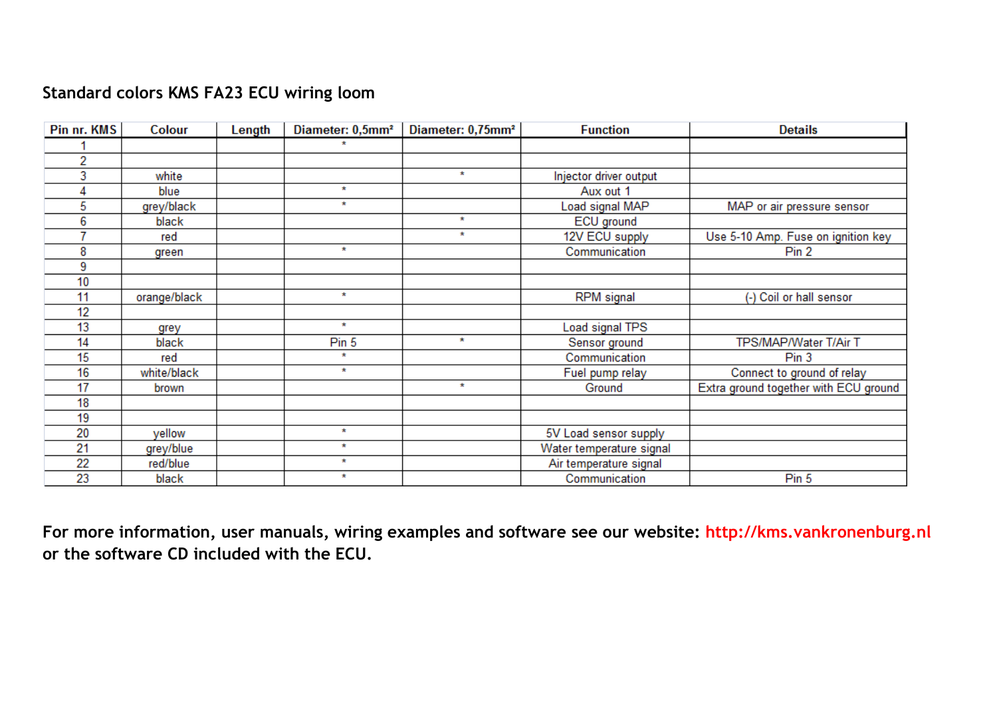## **Standard colors KMS FA23 ECU wiring loom**

| Pin nr. KMS | Colour       | Length | Diameter: 0,5mm <sup>2</sup> | Diameter: 0,75mm <sup>2</sup> | <b>Function</b>          | <b>Details</b>                        |
|-------------|--------------|--------|------------------------------|-------------------------------|--------------------------|---------------------------------------|
|             |              |        | $\star$                      |                               |                          |                                       |
| 2           |              |        |                              |                               |                          |                                       |
| 3           | white        |        |                              | $\star$                       | Injector driver output   |                                       |
| 4           | blue         |        | $\star$                      |                               | Aux out 1                |                                       |
| 5           | grey/black   |        | $\star$                      |                               | Load signal MAP          | MAP or air pressure sensor            |
| 6           | black        |        |                              | $\star$                       | ECU ground               |                                       |
|             | red          |        |                              | $\star$                       | 12V ECU supply           | Use 5-10 Amp. Fuse on ignition key    |
| 8           | green        |        | $\star$                      |                               | Communication            | Pin 2                                 |
| 9           |              |        |                              |                               |                          |                                       |
| 10          |              |        |                              |                               |                          |                                       |
| 11          | orange/black |        | $\star$                      |                               | <b>RPM</b> signal        | (-) Coil or hall sensor               |
| 12          |              |        |                              |                               |                          |                                       |
| 13          | grey         |        | $\star$                      |                               | Load signal TPS          |                                       |
| 14          | black        |        | Pin 5                        | $\star$                       | Sensor ground            | TPS/MAP/Water T/Air T                 |
| 15          | red          |        | $\star$                      |                               | Communication            | Pin <sub>3</sub>                      |
| 16          | white/black  |        | $\star$                      |                               | Fuel pump relay          | Connect to ground of relay            |
| 17          | brown        |        |                              | $\star$                       | Ground                   | Extra ground together with ECU ground |
| 18          |              |        |                              |                               |                          |                                       |
| 19          |              |        |                              |                               |                          |                                       |
| 20          | yellow       |        | $\star$                      |                               | 5V Load sensor supply    |                                       |
| 21          | grey/blue    |        | $\star$                      |                               | Water temperature signal |                                       |
| 22          | red/blue     |        | $\star$                      |                               | Air temperature signal   |                                       |
| 23          | black        |        | $\star$                      |                               | Communication            | Pin 5                                 |

**For more information, user manuals, wiring examples and software see our website: http://kms.vankronenburg.nl or the software CD included with the ECU.**